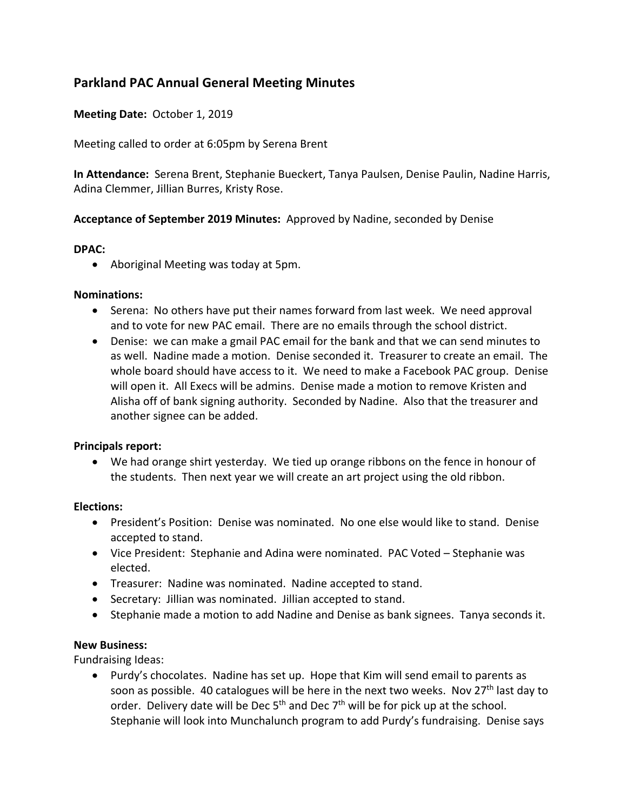# **Parkland PAC Annual General Meeting Minutes**

## **Meeting Date:** October 1, 2019

Meeting called to order at 6:05pm by Serena Brent

**In Attendance:** Serena Brent, Stephanie Bueckert, Tanya Paulsen, Denise Paulin, Nadine Harris, Adina Clemmer, Jillian Burres, Kristy Rose.

## **Acceptance of September 2019 Minutes:** Approved by Nadine, seconded by Denise

### **DPAC:**

• Aboriginal Meeting was today at 5pm.

### **Nominations:**

- Serena: No others have put their names forward from last week. We need approval and to vote for new PAC email. There are no emails through the school district.
- Denise: we can make a gmail PAC email for the bank and that we can send minutes to as well. Nadine made a motion. Denise seconded it. Treasurer to create an email. The whole board should have access to it. We need to make a Facebook PAC group. Denise will open it. All Execs will be admins. Denise made a motion to remove Kristen and Alisha off of bank signing authority. Seconded by Nadine. Also that the treasurer and another signee can be added.

### **Principals report:**

• We had orange shirt yesterday. We tied up orange ribbons on the fence in honour of the students. Then next year we will create an art project using the old ribbon.

#### **Elections:**

- President's Position: Denise was nominated. No one else would like to stand. Denise accepted to stand.
- Vice President: Stephanie and Adina were nominated. PAC Voted Stephanie was elected.
- Treasurer: Nadine was nominated. Nadine accepted to stand.
- Secretary: Jillian was nominated. Jillian accepted to stand.
- Stephanie made a motion to add Nadine and Denise as bank signees. Tanya seconds it.

### **New Business:**

Fundraising Ideas:

• Purdy's chocolates. Nadine has set up. Hope that Kim will send email to parents as soon as possible. 40 catalogues will be here in the next two weeks. Nov  $27<sup>th</sup>$  last day to order. Delivery date will be Dec  $5<sup>th</sup>$  and Dec  $7<sup>th</sup>$  will be for pick up at the school. Stephanie will look into Munchalunch program to add Purdy's fundraising. Denise says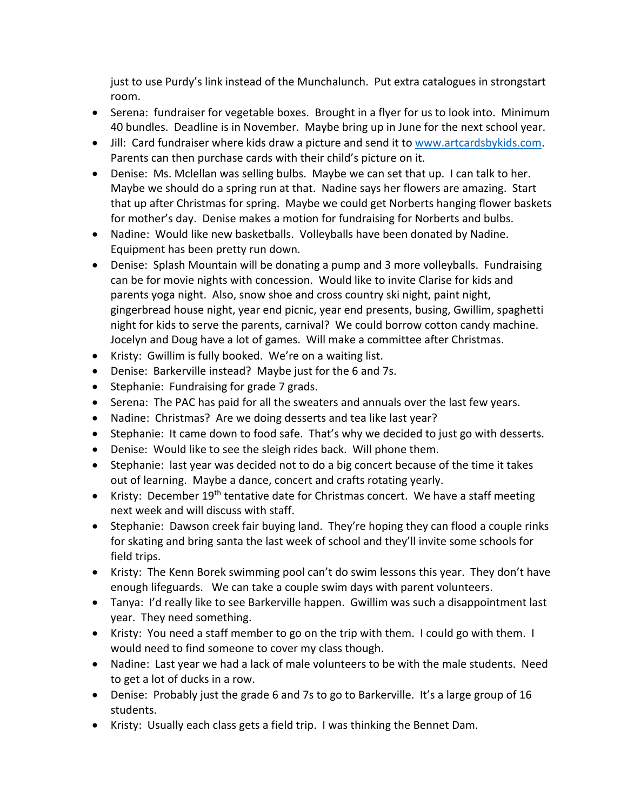just to use Purdy's link instead of the Munchalunch. Put extra catalogues in strongstart room.

- Serena: fundraiser for vegetable boxes. Brought in a flyer for us to look into. Minimum 40 bundles. Deadline is in November. Maybe bring up in June for the next school year.
- Jill: Card fundraiser where kids draw a picture and send it to www.artcardsbykids.com. Parents can then purchase cards with their child's picture on it.
- Denise: Ms. Mclellan was selling bulbs. Maybe we can set that up. I can talk to her. Maybe we should do a spring run at that. Nadine says her flowers are amazing. Start that up after Christmas for spring. Maybe we could get Norberts hanging flower baskets for mother's day. Denise makes a motion for fundraising for Norberts and bulbs.
- Nadine: Would like new basketballs. Volleyballs have been donated by Nadine. Equipment has been pretty run down.
- Denise: Splash Mountain will be donating a pump and 3 more volleyballs. Fundraising can be for movie nights with concession. Would like to invite Clarise for kids and parents yoga night. Also, snow shoe and cross country ski night, paint night, gingerbread house night, year end picnic, year end presents, busing, Gwillim, spaghetti night for kids to serve the parents, carnival? We could borrow cotton candy machine. Jocelyn and Doug have a lot of games. Will make a committee after Christmas.
- Kristy: Gwillim is fully booked. We're on a waiting list.
- Denise: Barkerville instead? Maybe just for the 6 and 7s.
- Stephanie: Fundraising for grade 7 grads.
- Serena: The PAC has paid for all the sweaters and annuals over the last few years.
- Nadine: Christmas? Are we doing desserts and tea like last year?
- Stephanie: It came down to food safe. That's why we decided to just go with desserts.
- Denise: Would like to see the sleigh rides back. Will phone them.
- Stephanie: last year was decided not to do a big concert because of the time it takes out of learning. Maybe a dance, concert and crafts rotating yearly.
- Kristy: December 19<sup>th</sup> tentative date for Christmas concert. We have a staff meeting next week and will discuss with staff.
- Stephanie: Dawson creek fair buying land. They're hoping they can flood a couple rinks for skating and bring santa the last week of school and they'll invite some schools for field trips.
- Kristy: The Kenn Borek swimming pool can't do swim lessons this year. They don't have enough lifeguards. We can take a couple swim days with parent volunteers.
- Tanya: I'd really like to see Barkerville happen. Gwillim was such a disappointment last year. They need something.
- Kristy: You need a staff member to go on the trip with them. I could go with them. I would need to find someone to cover my class though.
- Nadine: Last year we had a lack of male volunteers to be with the male students. Need to get a lot of ducks in a row.
- Denise: Probably just the grade 6 and 7s to go to Barkerville. It's a large group of 16 students.
- Kristy: Usually each class gets a field trip. I was thinking the Bennet Dam.